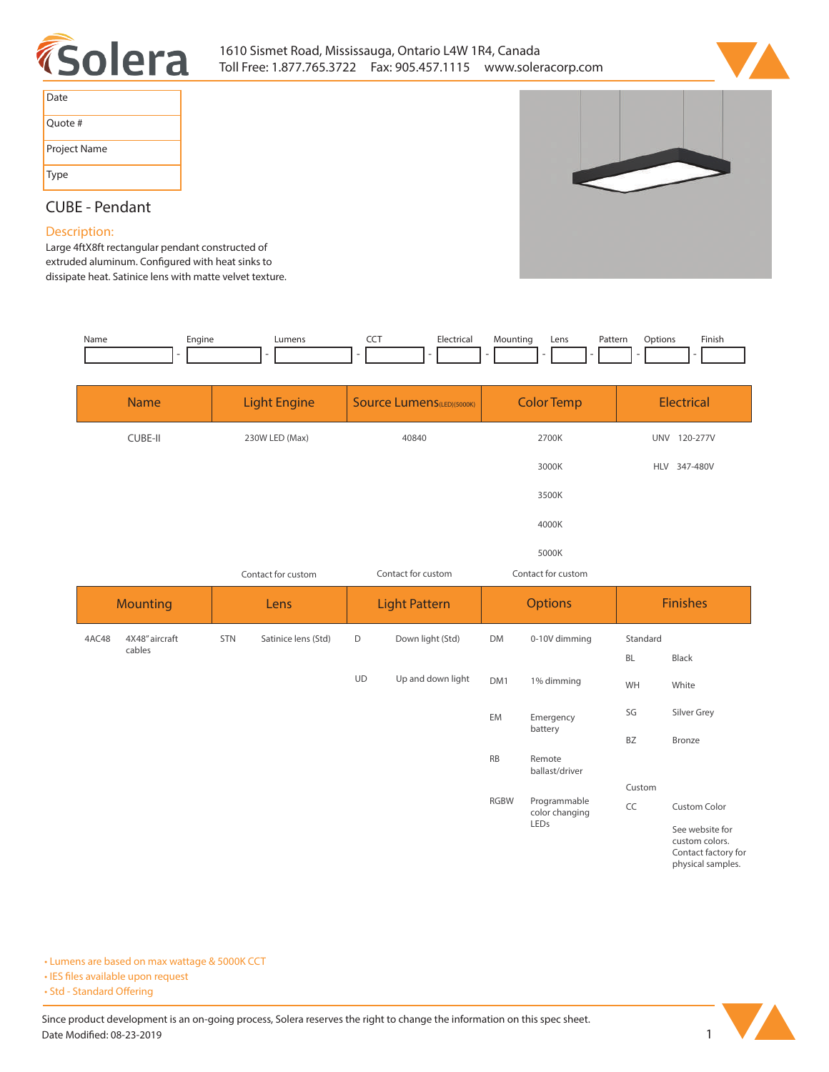



| Date         |
|--------------|
| Quote #      |
| Project Name |
| <b>Type</b>  |

# **CUBE - Pendant**

## **Description:**

**Large 4ftX8ft rectangular pendant constructed of**  extruded aluminum. Configured with heat sinks to **dissipate heat. Satinice lens with matte velvet texture.** 

| Name | Engine<br><u>та на те</u> | <b>umens</b> | ---<br>$ -$ | Electrical<br>. | Mountinc<br>- | Lens | Patterr<br>. | btions<br>. | Finish<br>the contract of the contract of the |
|------|---------------------------|--------------|-------------|-----------------|---------------|------|--------------|-------------|-----------------------------------------------|
|      |                           |              |             |                 |               |      |              |             |                                               |

| <b>Name</b>             | <b>Light Engine</b> |                     | <b>Source Lumens</b> (LED)(5000K) |                      | <b>Color Temp</b>          |                          | <b>Electrical</b> |                 |  |
|-------------------------|---------------------|---------------------|-----------------------------------|----------------------|----------------------------|--------------------------|-------------------|-----------------|--|
| <b>CUBE-II</b>          | 230W LED (Max)      |                     | 40840                             |                      | 2700K                      |                          | UNV 120-277V      |                 |  |
|                         |                     |                     | 3000K                             |                      |                            |                          | HLV 347-480V      |                 |  |
|                         |                     |                     |                                   |                      |                            | 3500K                    |                   |                 |  |
|                         | 4000K               |                     |                                   |                      |                            |                          |                   |                 |  |
|                         |                     |                     |                                   |                      |                            | 5000K                    |                   |                 |  |
|                         |                     | Contact for custom  |                                   | Contact for custom   | Contact for custom         |                          |                   |                 |  |
| <b>Mounting</b>         |                     | Lens                |                                   | <b>Light Pattern</b> |                            | <b>Options</b>           |                   | <b>Finishes</b> |  |
| 4X48" aircraft<br>4AC48 | <b>STN</b>          | Satinice lens (Std) | D<br>Down light (Std)             |                      | <b>DM</b>                  | 0-10V dimming            | Standard          |                 |  |
| cables                  |                     |                     |                                   |                      |                            |                          | <b>BL</b>         | Black           |  |
|                         |                     |                     | <b>UD</b>                         | Up and down light    | DM <sub>1</sub>            | 1% dimming               | WH                | White           |  |
|                         |                     |                     |                                   |                      | EM<br>Emergency<br>battery |                          | SG                | Silver Grey     |  |
|                         |                     |                     |                                   |                      |                            |                          | <b>BZ</b>         | Bronze          |  |
|                         |                     |                     |                                   |                      | <b>RB</b>                  | Remote<br>ballast/driver |                   |                 |  |

**CC Custom Color RGBW Programmable color changing LEDs Custom**

**See website for custom colors. Contact factory for physical samples.** 

**• Lumens are based on max wattage & 5000K CCT**

- **IES files available upon request**
- Std Standard Offering

Since product development is an on-going process, Solera reserves the right to change the information on this spec sheet. **Date Modified: 08-23-2019** 1